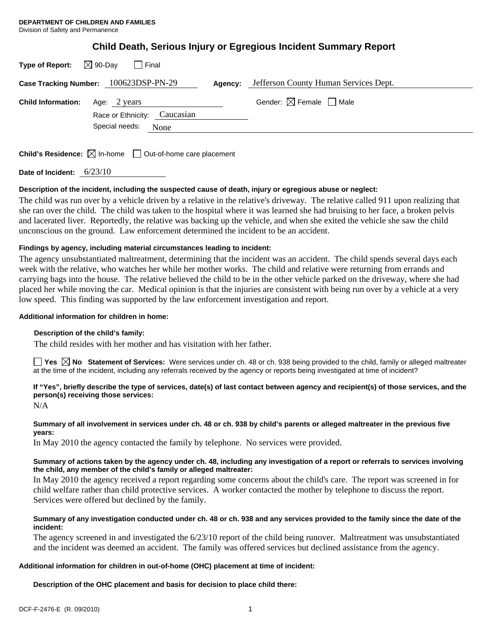| Type of Report: $\boxtimes$ 90-Day | l Final                                                                |         |                                        |
|------------------------------------|------------------------------------------------------------------------|---------|----------------------------------------|
|                                    | Case Tracking Number: 100623DSP-PN-29                                  | Agency: | Jefferson County Human Services Dept.  |
| <b>Child Information:</b>          | Age: 2 years<br>Race or Ethnicity: Caucasian<br>Special needs:<br>None |         | Gender: $\boxtimes$ Female $\Box$ Male |

**Child's Residence:**  $\boxtimes$  In-home  $\Box$  Out-of-home care placement

**Date of Incident:** 6/23/10

## **Description of the incident, including the suspected cause of death, injury or egregious abuse or neglect:**

The child was run over by a vehicle driven by a relative in the relative's driveway. The relative called 911 upon realizing that she ran over the child. The child was taken to the hospital where it was learned she had bruising to her face, a broken pelvis and lacerated liver. Reportedly, the relative was backing up the vehicle, and when she exited the vehicle she saw the child unconscious on the ground. Law enforcement determined the incident to be an accident.

## **Findings by agency, including material circumstances leading to incident:**

The agency unsubstantiated maltreatment, determining that the incident was an accident. The child spends several days each week with the relative, who watches her while her mother works. The child and relative were returning from errands and carrying bags into the house. The relative believed the child to be in the other vehicle parked on the driveway, where she had placed her while moving the car. Medical opinion is that the injuries are consistent with being run over by a vehicle at a very low speed. This finding was supported by the law enforcement investigation and report.

#### **Additional information for children in home:**

## **Description of the child's family:**

The child resides with her mother and has visitation with her father.

**Yes No Statement of Services:** Were services under ch. 48 or ch. 938 being provided to the child, family or alleged maltreater at the time of the incident, including any referrals received by the agency or reports being investigated at time of incident?

# **If "Yes", briefly describe the type of services, date(s) of last contact between agency and recipient(s) of those services, and the person(s) receiving those services:**

N/A

# **Summary of all involvement in services under ch. 48 or ch. 938 by child's parents or alleged maltreater in the previous five years:**

In May 2010 the agency contacted the family by telephone. No services were provided.

## **Summary of actions taken by the agency under ch. 48, including any investigation of a report or referrals to services involving the child, any member of the child's family or alleged maltreater:**

In May 2010 the agency received a report regarding some concerns about the child's care. The report was screened in for child welfare rather than child protective services. A worker contacted the mother by telephone to discuss the report. Services were offered but declined by the family.

## **Summary of any investigation conducted under ch. 48 or ch. 938 and any services provided to the family since the date of the incident:**

The agency screened in and investigated the 6/23/10 report of the child being runover. Maltreatment was unsubstantiated and the incident was deemed an accident. The family was offered services but declined assistance from the agency.

## **Additional information for children in out-of-home (OHC) placement at time of incident:**

**Description of the OHC placement and basis for decision to place child there:**